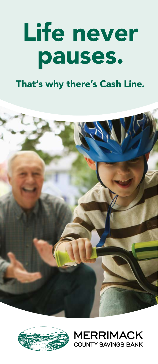# Life never pauses.

## That's why there's Cash Line.





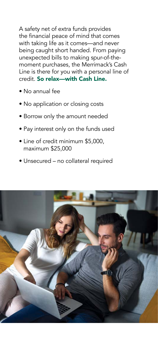A safety net of extra funds provides the financial peace of mind that comes with taking life as it comes—and never being caught short handed. From paying unexpected bills to making spur-of-themoment purchases, the Merrimack's Cash Line is there for you with a personal line of credit. So relax—with Cash Line.

- No annual fee
- No application or closing costs
- Borrow only the amount needed
- Pay interest only on the funds used
- Line of credit minimum \$5,000, maximum \$25,000
- Unsecured no collateral required

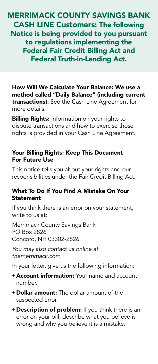### MERRIMACK COUNTY SAVINGS BANK CASH LINE Customers: The following Notice is being provided to you pursuant to regulations implementing the Federal Fair Credit Billing Act and Federal Truth-in-Lending Act.

How Will We Calculate Your Balance: We use a method called "Daily Balance" (including current transactions). See the Cash Line Agreement for more details.

**Billing Rights:** Information on your rights to dispute transactions and how to exercise those rights is provided in your Cash Line Agreement.

#### Your Billing Rights: Keep This Document For Future Use

This notice tells you about your rights and our responsibilities under the Fair Credit Billing Act.

#### What To Do If You Find A Mistake On Your Statement

If you think there is an error on your statement, write to us at:

Merrimack County Savings Bank PO Box 2826 Concord, NH 03302-2826

*You may also contact us online at themerrimack.com*

In your letter, give us the following information:

- **Account information:** Your name and account number.
- **Dollar amount:** The dollar amount of the suspected error.
- **Description of problem:** If you think there is an error on your bill, describe what you believe is wrong and why you believe it is a mistake.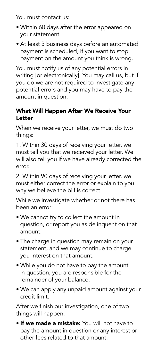You must contact us:

- Within 60 days after the error appeared on your statement.
- At least 3 business days before an automated payment is scheduled, if you want to stop payment on the amount you think is wrong.

You must notify us of any potential errors in writing [or electronically]. You may call us, but if you do we are not required to investigate any potential errors and you may have to pay the amount in question.

#### What Will Happen After We Receive Your Letter

When we receive your letter, we must do two things:

1. Within 30 days of receiving your letter, we must tell you that we received your letter. We will also tell you if we have already corrected the error.

2. Within 90 days of receiving your letter, we must either correct the error or explain to you why we believe the bill is correct.

While we investigate whether or not there has been an error:

- We cannot try to collect the amount in question, or report you as delinquent on that amount.
- The charge in question may remain on your statement, and we may continue to charge you interest on that amount.
- While you do not have to pay the amount in question, you are responsible for the remainder of your balance.
- We can apply any unpaid amount against your credit limit.

After we finish our investigation, one of two things will happen:

**• If we made a mistake:** You will not have to pay the amount in question or any interest or other fees related to that amount.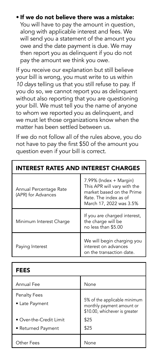#### • If we do not believe there was a mistake:

You will have to pay the amount in question, along with applicable interest and fees. We will send you a statement of the amount you owe and the date payment is due. We may then report you as delinquent if you do not pay the amount we think you owe.

If you receive our explanation but still believe your bill is wrong, you must write to us within *10 days* telling us that you still refuse to pay. If you do so, we cannot report you as delinquent without also reporting that you are questioning your bill. We must tell you the name of anyone to whom we reported you as delinquent, and we must let those organizations know when the matter has been settled between us.

If we do not follow all of the rules above, you do not have to pay the first \$50 of the amount you question even if your bill is correct.

| <b>INTEREST RATES AND INTEREST CHARGES</b>   |                                                                                                                                           |  |  |  |  |  |  |  |  |
|----------------------------------------------|-------------------------------------------------------------------------------------------------------------------------------------------|--|--|--|--|--|--|--|--|
| Annual Percentage Rate<br>(APR) for Advances | $7.99\%$ (Index + Margin)<br>This APR will vary with the<br>market based on the Prime<br>Rate. The index as of<br>March 17, 2022 was 3.5% |  |  |  |  |  |  |  |  |
| Minimum Interest Charge                      | If you are charged interest,<br>the charge will be<br>no less than \$5.00                                                                 |  |  |  |  |  |  |  |  |
| Paying Interest                              | We will begin charging you<br>interest on advances<br>on the transaction date.                                                            |  |  |  |  |  |  |  |  |

| <b>FEES</b>                                   |                                                                                            |
|-----------------------------------------------|--------------------------------------------------------------------------------------------|
| Annual Fee                                    | None                                                                                       |
| Penalty Fees<br>• Late Payment                | 5% of the applicable minimum<br>monthly payment amount or<br>\$10.00, whichever is greater |
| • Over-the-Credit Limit<br>• Returned Payment | \$25<br>\$25                                                                               |
| Other Fees                                    |                                                                                            |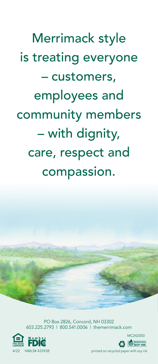Merrimack style is treating everyone – customers, employees and community members – with dignity, care, respect and compassion.

PO Box 2826, Concord, NH 03302 603.225.2793 | 800.541.0006 | themerrimack.com



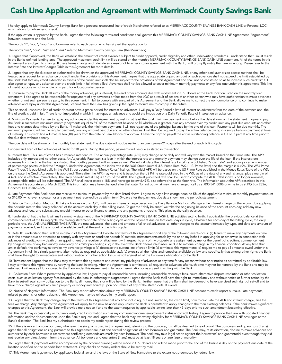## Cash Line Application and Agreement with Merrimack County Savings Bank

I hereby apply to Merrimack County Savings Bank for a personal unsecured line of credit (hereinafter referred to as MERRIMACK COUNTY SAVINGS BANK CASH LINE or Personal LOC) which allows for advances of credit.

If the application is approved by the Bank, I agree that the following terms and conditions shall govern this MERRIMACK COUNTY SAVINGS BANK CASH LINE Agreement ("Agreement") between borrower and the Bank.

The words "I", "you", "your" and borrower refer to each person who has signed the application form.

The words "we", "our", "us" and "Bank" refer to Merrimack County Savings Bank (the Merrimack).

1. I agree that if approved, the Bank will establish the amount of credit available subject to credit approval, credit eligibility and other underwriting standards. I understand that I must reside in the Banks defined lending area. The approved maximum credit limit will be stated on the monthly MERRIMACK COUNTY SAVINGS BANK CASH LINE statement. All of the terms in this Agreement are subject to change. If these terms change and I decide as a result not to enter into an agreement with the Bank, I will promptly notify the Bank in writing. Please refer to the Interest Rate and Interest Charges Table in this Agreement for more details.

2. I agree that any check drawn or authorized to be drawn on the approved MERRIMACK COUNTY SAVINGS BANK CASH LINE, or any other bank authorized access method shall be treated as a request for an advance of credit under the provisions of this Agreement. I agree that the aggregate unpaid amount of such advances shall not exceed the limit established by the Bank, but that any credit extended in excess of the credit limit shall also be subject to the provisions of this Agreement and shall not be construed so as to increase such credit limit. I also agree to repay any advance over the credit limit in full when billed. Advances shall not be allowed to cover minimum monthly payments or any fees due under this agreement. This line of credit purpose in not in whole or in part, for educational expenses.

3. I promise to pay the Bank all sums of the money advances, plus interest, fees and other amounts due with repayment in U.S. dollars at the bank location listed on the monthly loan statement. I also agree to be responsible for repayment of any advances or fees made from the LOC as a result of actions of another person who may have authorization to make advances whether or not such person is a party to this agreement. If I fail to comply with any part of this Agreement and the Bank allows me to correct the non-compliance or to continue to make advances and repay under this Agreement, I cannot claim the Bank has given up the right to require me to comply in the future.

This personal unsecured line of credit does not have a grace period for interest on advances. I will pay a Daily Periodic Rate of interest on advances from the date of the advance until the line of credit is paid in full. There is no time period in which I may repay an advance and avoid the imposition of a Daily Periodic Rate of interest on an advance.

4. Minimum Payments: I agree to repay any advances under this Agreement by making at least the total minimum payment on or before the date shown on the statement. I agree to pay the Bank in successive minimum monthly payments equal to 5% of the statement balance or \$5 whichever is greater, plus any amount over my credit limit, any past due amounts and other fees and charges determined by the Bank. If I make only the minimum payments, I will not repay any of the principal balance by the end of this loan. Payments will be due monthly. The minimum payment will be the regular payment, plus any amount past due and all other charges. I will then be required to pay the entire balance owing in a single balloon payment at time of maturity. This credit line will mature ten (10) years from the date of Bank Notice of approval. I have the right to payoff the entire outstanding balance in full or in part at any time prior to the due date without penalty.

The due date will be shown on the monthly loan statement. The due date will not be earlier than twenty-one (21) days after the end of each billing cycle.

I understand I can obtain advances of credit for 10 years. During this period, payments will be due as stated in this section.

5. Interest Rate: This line of credit has a variable rate feature. The annual percentage rate (APR) may change once daily and will vary with the market based on the Prime rate. The APR includes only interest and no other costs. An Adjustable Rate loan is a loan in which the interest rate and monthly payment may change over the life of the loan. If the interest rate increases from the time the loan is initiated, the monthly payment will increase as well. We will calculate the interest rate by taking a published "index rate" and adding a certain number of percentage points, called the "Margin". Under this Agreement, the index rate is the Wall Street Journal U.S. Prime Rate (WSJ U.S. Prime Rate) and the margin is 4.49%. The WSJ Prime Rate ("index") is published daily in the Wall Street Journal in its "Money Rates" listings. The initial APR will be based on the US Prime Rate published in the Money Rates Table of the WSJ on the date the Credit Agreement is approved. Thereafter, the APR may vary and is based on the US Prime rate published in the WSJ as of the date of any such change, plus a margin of 4.49% and is effective immediately. The Daily periodic rate (DPR) is 1/365 of the APR. The highest published rate shall be used to compute the APR. If this index is no longer available, a comparable index will be substituted. The APR shall never exceed 18% and never go below 6.49%, also referred to as the floor rate. The information about the APR described in this Agreement is accurate as of March 2022. This information may have changed after that date. To find out what may have changed, call us at 800.541.0006 or write to us at PO Box 2826, Concord, NH 03302-2826.

6. Late Payment: If the Bank does not receive the minimum payment by the date listed above, I agree to pay a late charge equal to 5% of the applicable minimum monthly payment amount or \$10.00, whichever is greater for any payment not received by us within ten (10) days after the payment due date shown on the periodic statement.

7. Balance Computation Method: If I take advances on this LOC, I will pay an interest charge based on the Daily Balance Method. We figure the interest charge on the account by applying the periodic rate to the "daily balance" of the account each day in the billing cycle. To get the "daily balance" we take the beginning balance of the account each day, add any new advances and fees, and subtract any unpaid interest or other finance charges and any payments or credits. This gives us the daily balance.

8. I understand that the bank will mail a monthly statement of the MERRIMACK COUNTY SAVINGS BANK CASH LINE activities setting forth, if applicable, the previous balance at the commencement of the billing cycle, the closing statement date of the billing cycle and the payment due on that date, days in cycle, a balance for each day of the billing cycle, the daily periodic rate, the ANNUAL PERCENTAGE RATE, the total advances, the date and amount of all check advances, all other charges to the account itemized by type, and date and amount of payments received, and the amount of available credit at the end of the billing cycle.

9. Default: I understand that I will be in default of this Agreement if I violate any terms of this Agreement or if any of the following events occur: (a) failure to make any payments on time or in the amount due or otherwise to comply with any term or condition hereof; (b) material misstatements made by me or on my behalf in applying for or otherwise in connection with advances of credit.; (c) my death or an appointment of a receiver or attachment with respect to any of my property, any assignment by me for the benefit of creditors, commencement by or against me of any bankruptcy, insolvency or similar proceedings; (d) in the event the Bank deems itself insecure due to material change in my financial condition. At any time that I am in default, the bank may (a) revoke my advance privileges; (b) decrease the current line of credit limit; (c) terminate this Agreement; (d) require me to pay all amounts owed under this Agreement in full, in a single payment (after notice as required by applicable law); (e) exercise all the rights and remedies available by law, and specifically that among other rights the Bank shall have the right to immediately and without notice or further action by us, set-off against all of the borrowers obligations to the Bank.

10. Termination: I agree that the Bank may terminate this agreement and cancel my privileges of advances at any time for any reason without prior notice as permitted by applicable law. I may terminate this Agreement by notifying the bank in writing. After the Agreement is terminated, all request for advances after such time may not be honored by the Bank and may be returned. I will repay all funds owed to the Bank under this Agreement in full upon termination or as agreed in writing with the Bank.

11. Collection Fees: Where permitted by applicable law, I agree to pay all reasonable costs, including reasonable attorney's fees, court, alternative dispute resolution or other collection costs, such as collection agency fees incurred by the bank in enforcing this agreement. I agree that the Bank shall have the right to immediately and without notice or further action by the Bank to set-off against my obligation to the Bank, all money that is or will be held by the Bank. I further agree that the Bank shall be deemed to have exercised such right of set-off and to have made charge against any such property or money immediately upon occurrence of any of the stated default events.

12. Notice of Negative Information. The Bank may report information about my MERRIMACK COUNTY SAVINGS BANK CASH LINE account to credit report bureaus. Late payments, missed payments, or other defaults of this Agreement may be reflected in my credit report.

13. I agree that the Bank may change any of the terms of this Agreement at any time including, but not limited to, the credit limit, how to calculate the APR and interest charge, and the fees we charge. Any change to this Agreement will apply to the new balances only unless the Bank is permitted to apply changes to the then existing balances. If the bank makes significant changes to this Agreement, the Bank will provide me a notice if and to the extent required by applicable law no later than 45-days prior to such amendment becoming effective.

14. The Bank may occasionally or routinely verify credit information such as my continued income, employment status and credit history. I agree to provide the Bank with updated financial information and/or documentation upon the Bank's request, and I agree that the Bank may review my eligibility for MERRIMACK COUNTY SAVINGS BANK CASH LINE privileges at the Bank's discretion. The Bank has my authorization to obtain my credit report during this review process.

15. If there is more than one borrower, whenever the singular is used in this agreement, referring to the borrower, it shall be deemed to read plural. The borrowers and guarantors (if any) agree that all obligations arising pursuant to this Agreement are joint and several obligations of each borrower and quarantor. The Bank may, at its discretion, decline to make advances not authorized by each borrower in cases where conflicting demands are made by each borrower. The bank may take legal action against the borrower(s) and guarantor(s) even though they did not receive any direct benefit from the advance. All borrowers and guarantors (if any) must be at least 18 years of age (age of majority).

16. I agree that all payments will be accompanied by the account number, will be made in U.S. dollars and will be made prior to the end of the business day on the payment due date at the location specified on the periodic loan statement. Only checks or money orders should be sent by mail.

17. This Agreement is governed by applicable federal law and the laws of the State of New Hampshire to the extent not preempted by federal law.